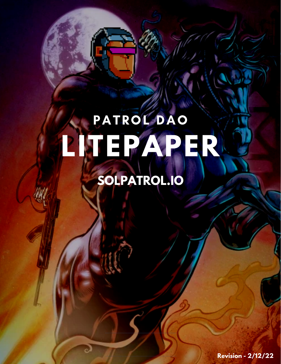# **LITEPAPER** PATROL DAO

## **SOLPATROL.IO**

**Revision - 2/12/22**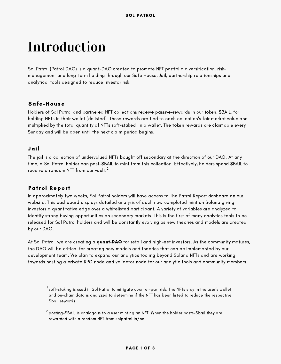### Introduction

Sol Patrol (Patrol DAO) is a quant-DAO created to promote NFT portfolio diversification, risk management and long-term holding through our Safe House, Jail, partnership relationships and analytical tools designed to reduce investor risk.

### Safe-House

Holders of Sol Patrol and partnered NFT collections receive passive-rewards in our token, \$BAIL, for holding NFTs in their wallet (delisted). These rewards are tied to each collection's fair market value and multiplied by the total quantity of NFTs soft-staked  $^{\rm l}$  in a wallet. The token rewards are claimable every Sunday and will be open until the next claim period begins.

#### Jail

The jail is a collection of undervalued NFTs bought off secondary at the direction of our DAO. At any time, a Sol Patrol holder can post-\$BAIL to mint from this collection. Effectively, holders spend \$BAIL to receive a random NFT from our vault. $^2$ 

#### Patrol Report

In approximately two weeks, Sol Patrol holders will have access to The Patrol Report dasboard on our website. This dashboard displays detailed analysis of each new completed mint on Solana giving investors a quantitative edge over a whitelisted participant. A variety of variables are analyzed to identify strong buying opportunities on secondary markets. This is the first of many analytics tools to be released for Sol Patrol holders and will be constantly evolving as new theories and models are created by our DAO.

At Sol Patrol, we are creating a **quant-DAO** for retail and high-net investors. As the community matures, the DAO will be critical for creating new models and theories that can be implemented by our development team. We plan to expand our analytics tooling beyond Solana NFTs and are working towards hosting a private RPC node and validator node for our analytic tools and community members.

 $^{\rm l}$ soft-staking is used in Sol Patrol to mitigate counter-part risk. The NFTs stay in the user's wallet and on-chain data is analyzed to determine if the NFT has been listed to reduce the respective \$bail rewards

 $^2$  posting-\$BAIL is analogous to a user minting an NFT. When the holder posts-\$bail they are rewarded with a random NFT from solpatrol.io/bail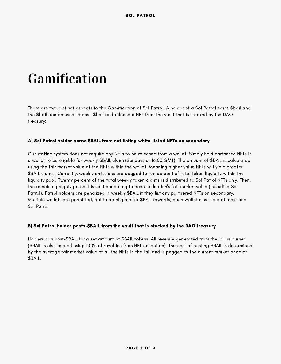### Gamification

There are two distinct aspects to the Gamification of Sol Patrol. A holder of a Sol Patrol earns \$bail and the \$bail can be used to post-\$bail and release a NFT from the vault that is stocked by the DAO treasury:

#### A) Sol Patrol holder earns \$BAIL from not listing white-listed NFTs on secondary

Our staking system does not require any NFTs to be released from a wallet. Simply hold partnered NFTs in a wallet to be eligible for weekly \$BAIL claim (Sundays at 16:00 GMT). The amount of \$BAIL is calculated using the fair market value of the NFTs within the wallet. Meaning higher value NFTs will yield greater \$BAIL claims. Currently, weekly emissions are pegged to ten percent of total token liquidity within the liquidity pool. Twenty percent of the total weekly token claims is distributed to Sol Patrol NFTs only. Then, the remaining eighty percent is split according to each collection's fair market value (including Sol Patrol). Patrol holders are penalized in weekly \$BAIL if they list any partnered NFTs on secondary. Multiple wallets are permitted, but to be eligible for \$BAIL rewards, each wallet must hold at least one Sol Patrol.

#### B) Sol Patrol holder posts-\$BAIL from the vault that is stocked by the DAO treasury

Holders can post-\$BAIL for a set amount of \$BAIL tokens. All revenue generated from the Jail is burned (\$BAIL is also burned using 100% of royalties from NFT collection). The cost of posting \$BAIL is determined by the average fair market value of all the NFTs in the Jail and is pegged to the current market price of \$BAIL.